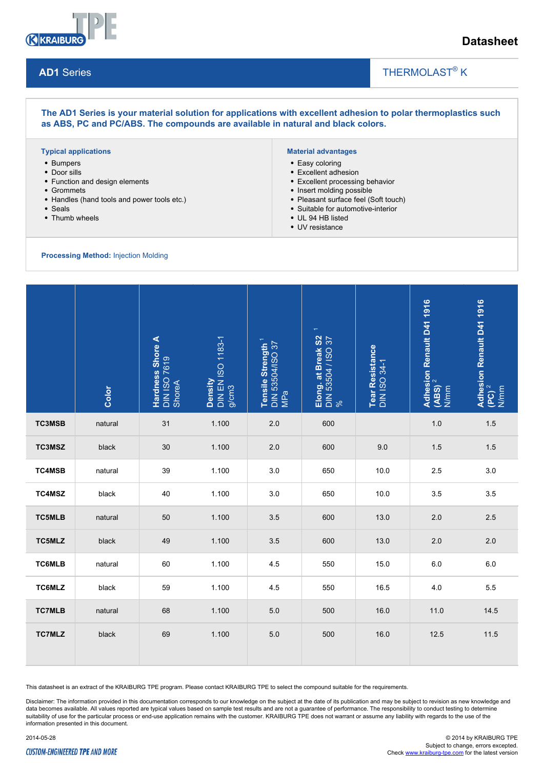

## **Datasheet**

#### **AD1** Series

## THERMOLAST<sup>®</sup> K

#### **The AD1 Series is your material solution for applications with excellent adhesion to polar thermoplastics such as ABS, PC and PC/ABS. The compounds are available in natural and black colors.**

#### **Typical applications**

- Bumpers
- Door sills
- Function and design elements
- Grommets
- Handles (hand tools and power tools etc.)
- Seals
- Thumb wheels

#### **Material advantages**

- Easy coloring
- Excellent adhesion
- Excellent processing behavior
- Insert molding possible
- Pleasant surface feel (Soft touch)

 $\overline{\phantom{a}}$ 

- Suitable for automotive-interior
- UL 94 HB listed
- UV resistance

**Processing Method:** Injection Molding

|               | Color   | Hardness Shore A<br>DIN ISO 7619<br>ShoreA | Density<br>DIN EN ISO 1183-1<br>g/cm3 | Tensile Strength <sup>1</sup><br>DIN 53504/ISO 37<br>MPa | Elong. at Break S2<br>DIN 53504 / ISO 37<br>% | Tear Resistance<br>DIN ISO 34-1 | Adhesion Renault D41 1916<br>(ABS) <sup>2</sup><br>N/mm | Adhesion Renault D41 1916 $\left(\vert \mathsf{PC}\right)^2$<br>N/mm |
|---------------|---------|--------------------------------------------|---------------------------------------|----------------------------------------------------------|-----------------------------------------------|---------------------------------|---------------------------------------------------------|----------------------------------------------------------------------|
| TC3MSB        | natural | 31                                         | 1.100                                 | 2.0                                                      | 600                                           |                                 | 1.0                                                     | 1.5                                                                  |
| TC3MSZ        | black   | 30                                         | 1.100                                 | 2.0                                                      | 600                                           | 9.0                             | 1.5                                                     | 1.5                                                                  |
| <b>TC4MSB</b> | natural | 39                                         | 1.100                                 | 3.0                                                      | 650                                           | 10.0                            | 2.5                                                     | 3.0                                                                  |
| TC4MSZ        | black   | 40                                         | 1.100                                 | 3.0                                                      | 650                                           | 10.0                            | 3.5                                                     | 3.5                                                                  |
| <b>TC5MLB</b> | natural | 50                                         | 1.100                                 | 3.5                                                      | 600                                           | 13.0                            | 2.0                                                     | 2.5                                                                  |
| <b>TC5MLZ</b> | black   | 49                                         | 1.100                                 | 3.5                                                      | 600                                           | 13.0                            | 2.0                                                     | 2.0                                                                  |
| <b>TC6MLB</b> | natural | 60                                         | 1.100                                 | 4.5                                                      | 550                                           | 15.0                            | 6.0                                                     | 6.0                                                                  |
| TC6MLZ        | black   | 59                                         | 1.100                                 | 4.5                                                      | 550                                           | 16.5                            | 4.0                                                     | 5.5                                                                  |
| <b>TC7MLB</b> | natural | 68                                         | 1.100                                 | 5.0                                                      | 500                                           | 16.0                            | 11.0                                                    | 14.5                                                                 |
| <b>TC7MLZ</b> | black   | 69                                         | 1.100                                 | 5.0                                                      | 500                                           | 16.0                            | 12.5                                                    | 11.5                                                                 |

This datasheet is an extract of the KRAIBURG TPE program. Please contact KRAIBURG TPE to select the compound suitable for the requirements.

Disclaimer: The information provided in this documentation corresponds to our knowledge on the subject at the date of its publication and may be subject to revision as new knowledge and data becomes available. All values reported are typical values based on sample test results and are not a guarantee of performance. The responsibility to conduct testing to determine suitability of use for the particular process or end-use application remains with the customer. KRAIBURG TPE does not warrant or assume any liability with regards to the use of the information presented in this document.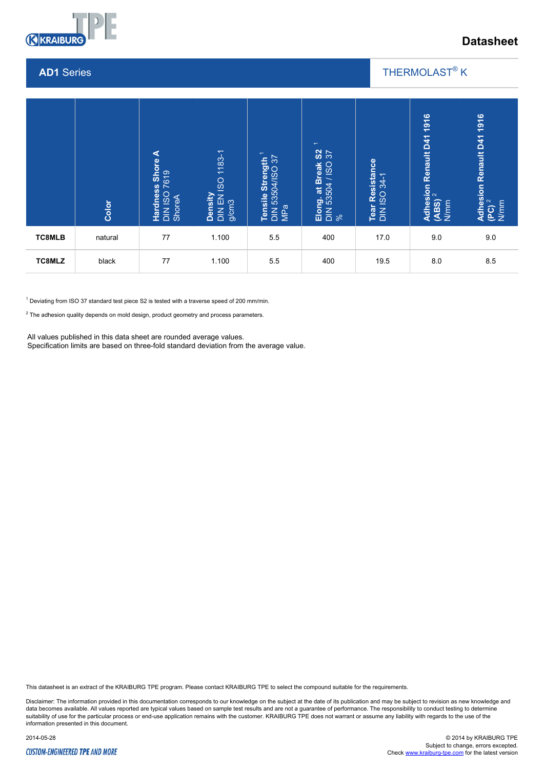

## **Datasheet**

#### **AD1** Series

## THERMOLAST<sup>®</sup> K

 $\overline{\phantom{a}}$ 

|                                                                                                                                                                                                                                                                                                                                                                | Color   | ⋖<br>Hardness Shore<br>DIN ISO 7619<br>ShoreA | Density<br>DIN EN ISO 1183-1<br>g/cm3 | Tensile Strength <sup>1</sup><br>DIN 53504/ISO 37<br>MPa | $\overline{\phantom{0}}$<br>$\frac{2}{3}$<br>Elong. at Break \$<br>DIN 53504 / ISO 3<br>% | Tear Resistance<br>DIN ISO 34-1 | 1916<br>Adhesion Renault D41 1<br>(ABS) <sup>2</sup><br>N/mm | 1916<br>Adhesion Renault D41 1<br>(PC) <sup>2</sup><br>N/mm |
|----------------------------------------------------------------------------------------------------------------------------------------------------------------------------------------------------------------------------------------------------------------------------------------------------------------------------------------------------------------|---------|-----------------------------------------------|---------------------------------------|----------------------------------------------------------|-------------------------------------------------------------------------------------------|---------------------------------|--------------------------------------------------------------|-------------------------------------------------------------|
| <b>TC8MLB</b>                                                                                                                                                                                                                                                                                                                                                  | natural | 77                                            | 1.100                                 | 5.5                                                      | 400                                                                                       | 17.0                            | 9.0                                                          | 9.0                                                         |
| <b>TC8MLZ</b>                                                                                                                                                                                                                                                                                                                                                  | black   | 77                                            | 1.100                                 | 5.5                                                      | 400                                                                                       | 19.5                            | 8.0                                                          | 8.5                                                         |
| $1$ Deviating from ISO 37 standard test piece S2 is tested with a traverse speed of 200 mm/min.<br>$2$ The adhesion quality depends on mold design, product geometry and process parameters.<br>All values published in this data sheet are rounded average values.<br>Specification limits are based on three-fold standard deviation from the average value. |         |                                               |                                       |                                                          |                                                                                           |                                 |                                                              |                                                             |

This datasheet is an extract of the KRAIBURG TPE program. Please contact KRAIBURG TPE to select the compound suitable for the requirements.

Disclaimer: The information provided in this documentation corresponds to our knowledge on the subject at the date of its publication and may be subject to revision as new knowledge and data becomes available. All values reported are typical values based on sample test results and are not a guarantee of performance. The responsibility to conduct testing to determine<br>suitability of use for the particular p information presented in this document.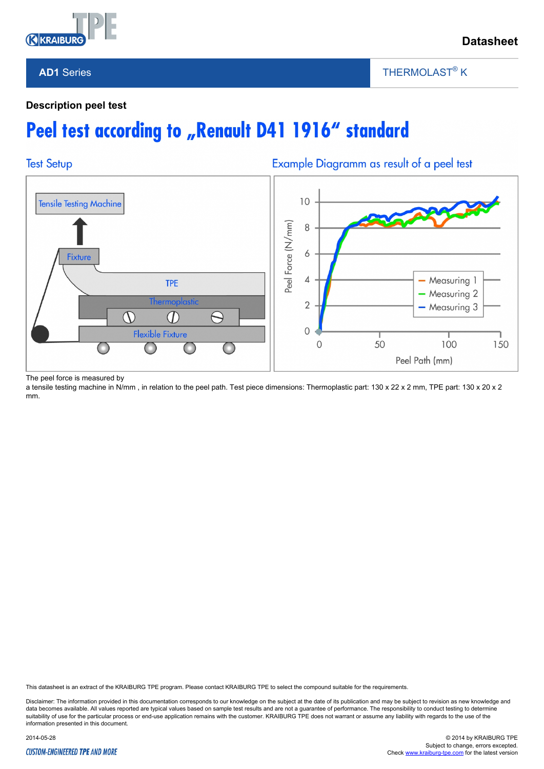

## **AD1** Series

THERMOLAST<sup>®</sup> K

 $\overline{\phantom{a}}$ 

### **Description peel test**

# Peel test according to "Renault D41 1916" standard



The peel force is measured by

a tensile testing machine in N/mm, in relation to the peel path. Test piece dimensions: Thermoplastic part: 130 x 22 x 2 mm, TPE part: 130 x 20 x 2 mm.

This datasheet is an extract of the KRAIBURG TPE program. Please contact KRAIBURG TPE to select the compound suitable for the requirements.

Disclaimer: The information provided in this documentation corresponds to our knowledge on the subject at the date of its publication and may be subject to revision as new knowledge and data becomes available. All values reported are typical values based on sample test results and are not a guarantee of performance. The responsibility to conduct testing to determine suitability of use for the particular process or end-use application remains with the customer. KRAIBURG TPE does not warrant or assume any liability with regards to the use of the information presented in this document.